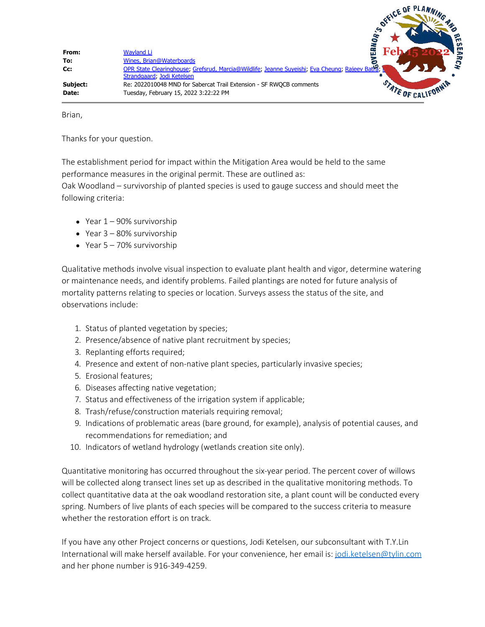

Brian,

Thanks for your question.

The establishment period for impact within the Mitigation Area would be held to the same performance measures in the original permit. These are outlined as:

Oak Woodland – survivorship of planted species is used to gauge success and should meet the following criteria:

- $\bullet$  Year  $1 90\%$  survivorship
- Year 3 80% survivorship
- Year 5 70% survivorship

Qualitative methods involve visual inspection to evaluate plant health and vigor, determine watering or maintenance needs, and identify problems. Failed plantings are noted for future analysis of mortality patterns relating to species or location. Surveys assess the status of the site, and observations include:

- 1. Status of planted vegetation by species;
- 2. Presence/absence of native plant recruitment by species;
- 3. Replanting efforts required;
- 4. Presence and extent of non-native plant species, particularly invasive species;
- 5. Erosional features;
- 6. Diseases affecting native vegetation;
- 7. Status and effectiveness of the irrigation system if applicable;
- 8. Trash/refuse/construction materials requiring removal;
- 9. Indications of problematic areas (bare ground, for example), analysis of potential causes, and recommendations for remediation; and
- 10. Indicators of wetland hydrology (wetlands creation site only).

Quantitative monitoring has occurred throughout the six-year period. The percent cover of willows will be collected along transect lines set up as described in the qualitative monitoring methods. To collect quantitative data at the oak woodland restoration site, a plant count will be conducted every spring. Numbers of live plants of each species will be compared to the success criteria to measure whether the restoration effort is on track.

If you have any other Project concerns or questions, Jodi Ketelsen, our subconsultant with T.Y.Lin International will make herself available. For your convenience, her email is: [jodi.ketelsen@tylin.com](mailto:jodi.ketelsen@tylin.com) and her phone number is 916-349-4259.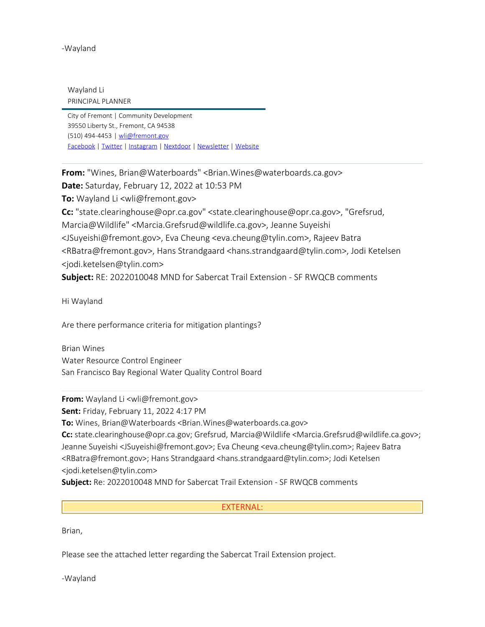-Wayland

Wayland Li PRINCIPAL PLANNER

City of Fremont | Community Development 39550 Liberty St., Fremont, CA 94538 (510) [494-4453](tel:(510)%20494-4453) | [wli@fremont.gov](mailto:wli@fremont.gov) [Facebook](https://www.facebook.com/cityoffremont) [|](https://www.facebook.com/TriCityAnimals/) [Twitter](https://twitter.com/fremont_ca) [|](https://www.facebook.com/TriCityAnimals/) [Instagram](https://www.instagram.com/Fremont_CA/) [|](https://www.facebook.com/TriCityAnimals/) [Nextdoor](https://nextdoor.com/agency-detail/ca/fremont/city-of-fremont-1/) [|](https://www.facebook.com/TriCityAnimals/) [Newsletter](https://fremont.us13.list-manage.com/subscribe/post?u=ddcb6a5e0935d1edf9fdf38f4&id=20c7a45c65) [|](https://www.facebook.com/TriCityAnimals/) [Website](https://www.fremont.gov/514/Community-Development)

**From:** "Wines, Brian@Waterboards" <Brian.Wines@waterboards.ca.gov>

**Date:** Saturday, February 12, 2022 at 10:53 PM

**To:** Wayland Li <wli@fremont.gov>

**Cc:** "state.clearinghouse@opr.ca.gov" <state.clearinghouse@opr.ca.gov>, "Grefsrud, Marcia@Wildlife" <Marcia.Grefsrud@wildlife.ca.gov>, Jeanne Suyeishi <JSuyeishi@fremont.gov>, Eva Cheung <eva.cheung@tylin.com>, Rajeev Batra <RBatra@fremont.gov>, Hans Strandgaard <hans.strandgaard@tylin.com>, Jodi Ketelsen <jodi.ketelsen@tylin.com>

**Subject:** RE: 2022010048 MND for Sabercat Trail Extension - SF RWQCB comments

Hi Wayland

Are there performance criteria for mitigation plantings?

Brian Wines Water Resource Control Engineer San Francisco Bay Regional Water Quality Control Board

**From:** Wayland Li <wli@fremont.gov>

**Sent:** Friday, February 11, 2022 4:17 PM

**To:** Wines, Brian@Waterboards <Brian.Wines@waterboards.ca.gov>

**Cc:** state.clearinghouse@opr.ca.gov; Grefsrud, Marcia@Wildlife <Marcia.Grefsrud@wildlife.ca.gov>; Jeanne Suyeishi <JSuyeishi@fremont.gov>; Eva Cheung <eva.cheung@tylin.com>; Rajeev Batra <RBatra@fremont.gov>; Hans Strandgaard <hans.strandgaard@tylin.com>; Jodi Ketelsen <jodi.ketelsen@tylin.com>

**Subject:** Re: 2022010048 MND for Sabercat Trail Extension - SF RWQCB comments

## EXTERNAL:

Brian,

Please see the attached letter regarding the Sabercat Trail Extension project.

-Wayland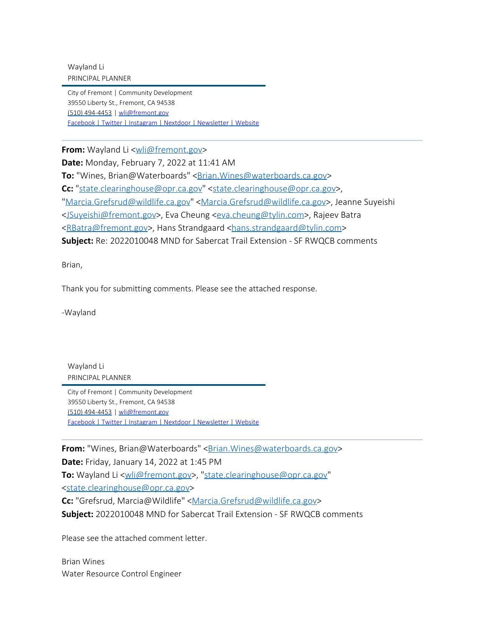Wayland Li PRINCIPAL PLANNER

City of Fremont | Community Development 39550 Liberty St., Fremont, CA 94538 (510) [494-4453](tel:(510)%20494-4453) | [wli@fremont.gov](mailto:wli@fremont.gov) [Facebook](https://gcc02.safelinks.protection.outlook.com/?url=https%3A%2F%2Fwww.facebook.com%2Fcityoffremont&data=04%7C01%7CBrian.Wines%40waterboards.ca.gov%7C978f3a69963a403dd68408d9edbd0ae1%7Cfe186a257d4941e6994105d2281d36c1%7C0%7C0%7C637802218537547688%7CUnknown%7CTWFpbGZsb3d8eyJWIjoiMC4wLjAwMDAiLCJQIjoiV2luMzIiLCJBTiI6Ik1haWwiLCJXVCI6Mn0%3D%7C3000&sdata=0DUfrD7cfhlPvykqZT%2FZLL41DBqjhRcoH93yuxYMxyc%3D&reserved=0) [|](https://gcc02.safelinks.protection.outlook.com/?url=https%3A%2F%2Fwww.facebook.com%2FTriCityAnimals%2F&data=04%7C01%7CBrian.Wines%40waterboards.ca.gov%7C978f3a69963a403dd68408d9edbd0ae1%7Cfe186a257d4941e6994105d2281d36c1%7C0%7C0%7C637802218537547688%7CUnknown%7CTWFpbGZsb3d8eyJWIjoiMC4wLjAwMDAiLCJQIjoiV2luMzIiLCJBTiI6Ik1haWwiLCJXVCI6Mn0%3D%7C3000&sdata=yuoZ4D8qxw0pmNHtD4Z17SBZBguhLJhP3Xvk6VSzxto%3D&reserved=0) [Twitter](https://gcc02.safelinks.protection.outlook.com/?url=https%3A%2F%2Ftwitter.com%2Ffremont_ca&data=04%7C01%7CBrian.Wines%40waterboards.ca.gov%7C978f3a69963a403dd68408d9edbd0ae1%7Cfe186a257d4941e6994105d2281d36c1%7C0%7C0%7C637802218537547688%7CUnknown%7CTWFpbGZsb3d8eyJWIjoiMC4wLjAwMDAiLCJQIjoiV2luMzIiLCJBTiI6Ik1haWwiLCJXVCI6Mn0%3D%7C3000&sdata=ocDodMwu0%2F3Ty1TZ57TjBARqYBT8YE23MLwwJiAMeUA%3D&reserved=0) [|](https://gcc02.safelinks.protection.outlook.com/?url=https%3A%2F%2Fwww.facebook.com%2FTriCityAnimals%2F&data=04%7C01%7CBrian.Wines%40waterboards.ca.gov%7C978f3a69963a403dd68408d9edbd0ae1%7Cfe186a257d4941e6994105d2281d36c1%7C0%7C0%7C637802218537547688%7CUnknown%7CTWFpbGZsb3d8eyJWIjoiMC4wLjAwMDAiLCJQIjoiV2luMzIiLCJBTiI6Ik1haWwiLCJXVCI6Mn0%3D%7C3000&sdata=yuoZ4D8qxw0pmNHtD4Z17SBZBguhLJhP3Xvk6VSzxto%3D&reserved=0) [Instagram](https://gcc02.safelinks.protection.outlook.com/?url=https%3A%2F%2Fwww.instagram.com%2FFremont_CA%2F&data=04%7C01%7CBrian.Wines%40waterboards.ca.gov%7C978f3a69963a403dd68408d9edbd0ae1%7Cfe186a257d4941e6994105d2281d36c1%7C0%7C0%7C637802218537547688%7CUnknown%7CTWFpbGZsb3d8eyJWIjoiMC4wLjAwMDAiLCJQIjoiV2luMzIiLCJBTiI6Ik1haWwiLCJXVCI6Mn0%3D%7C3000&sdata=Xc9jcf1%2BJJhngk2IgN4Qc9zJJ2IykTzEUeRnsBt6vGQ%3D&reserved=0) [|](https://gcc02.safelinks.protection.outlook.com/?url=https%3A%2F%2Fwww.facebook.com%2FTriCityAnimals%2F&data=04%7C01%7CBrian.Wines%40waterboards.ca.gov%7C978f3a69963a403dd68408d9edbd0ae1%7Cfe186a257d4941e6994105d2281d36c1%7C0%7C0%7C637802218537547688%7CUnknown%7CTWFpbGZsb3d8eyJWIjoiMC4wLjAwMDAiLCJQIjoiV2luMzIiLCJBTiI6Ik1haWwiLCJXVCI6Mn0%3D%7C3000&sdata=yuoZ4D8qxw0pmNHtD4Z17SBZBguhLJhP3Xvk6VSzxto%3D&reserved=0) [Nextdoor](https://gcc02.safelinks.protection.outlook.com/?url=https%3A%2F%2Fnextdoor.com%2Fagency-detail%2Fca%2Ffremont%2Fcity-of-fremont-1%2F&data=04%7C01%7CBrian.Wines%40waterboards.ca.gov%7C978f3a69963a403dd68408d9edbd0ae1%7Cfe186a257d4941e6994105d2281d36c1%7C0%7C0%7C637802218537547688%7CUnknown%7CTWFpbGZsb3d8eyJWIjoiMC4wLjAwMDAiLCJQIjoiV2luMzIiLCJBTiI6Ik1haWwiLCJXVCI6Mn0%3D%7C3000&sdata=tDaVhWE4508rI8M%2BZ1IwZSf24lFSPL1nMgOWSdo8efU%3D&reserved=0) [|](https://gcc02.safelinks.protection.outlook.com/?url=https%3A%2F%2Fwww.facebook.com%2FTriCityAnimals%2F&data=04%7C01%7CBrian.Wines%40waterboards.ca.gov%7C978f3a69963a403dd68408d9edbd0ae1%7Cfe186a257d4941e6994105d2281d36c1%7C0%7C0%7C637802218537703908%7CUnknown%7CTWFpbGZsb3d8eyJWIjoiMC4wLjAwMDAiLCJQIjoiV2luMzIiLCJBTiI6Ik1haWwiLCJXVCI6Mn0%3D%7C3000&sdata=i59pSTYBL%2FDlyHpiBoSvxJ9BjZe%2B7NV%2FMuj2msF2LJU%3D&reserved=0) [Newsletter](https://gcc02.safelinks.protection.outlook.com/?url=https%3A%2F%2Ffremont.us13.list-manage.com%2Fsubscribe%2Fpost%3Fu%3Dddcb6a5e0935d1edf9fdf38f4%26id%3D20c7a45c65&data=04%7C01%7CBrian.Wines%40waterboards.ca.gov%7C978f3a69963a403dd68408d9edbd0ae1%7Cfe186a257d4941e6994105d2281d36c1%7C0%7C0%7C637802218537703908%7CUnknown%7CTWFpbGZsb3d8eyJWIjoiMC4wLjAwMDAiLCJQIjoiV2luMzIiLCJBTiI6Ik1haWwiLCJXVCI6Mn0%3D%7C3000&sdata=CYlDVGrQ2J2rtX3oNpXaMy2lAVcQSyVvMsl0FHQxYEo%3D&reserved=0) [|](https://gcc02.safelinks.protection.outlook.com/?url=https%3A%2F%2Fwww.facebook.com%2FTriCityAnimals%2F&data=04%7C01%7CBrian.Wines%40waterboards.ca.gov%7C978f3a69963a403dd68408d9edbd0ae1%7Cfe186a257d4941e6994105d2281d36c1%7C0%7C0%7C637802218537703908%7CUnknown%7CTWFpbGZsb3d8eyJWIjoiMC4wLjAwMDAiLCJQIjoiV2luMzIiLCJBTiI6Ik1haWwiLCJXVCI6Mn0%3D%7C3000&sdata=i59pSTYBL%2FDlyHpiBoSvxJ9BjZe%2B7NV%2FMuj2msF2LJU%3D&reserved=0) [Website](https://gcc02.safelinks.protection.outlook.com/?url=https%3A%2F%2Fwww.fremont.gov%2F514%2FCommunity-Development&data=04%7C01%7CBrian.Wines%40waterboards.ca.gov%7C978f3a69963a403dd68408d9edbd0ae1%7Cfe186a257d4941e6994105d2281d36c1%7C0%7C0%7C637802218537703908%7CUnknown%7CTWFpbGZsb3d8eyJWIjoiMC4wLjAwMDAiLCJQIjoiV2luMzIiLCJBTiI6Ik1haWwiLCJXVCI6Mn0%3D%7C3000&sdata=gEl1mNAsW2EOumJfbfibQ6HUzanSBZ%2B0PDkFblP44Ak%3D&reserved=0)

**From:** Wayland Li [<wli@fremont.gov](mailto:wli@fremont.gov)>

**Date:** Monday, February 7, 2022 at 11:41 AM

**To:** "Wines, Brian@Waterboards" < Brian. Wines@waterboards.ca.gov>

**Cc:** "[state.clearinghouse@opr.ca.gov](mailto:state.clearinghouse@opr.ca.gov)" <[state.clearinghouse@opr.ca.gov](mailto:state.clearinghouse@opr.ca.gov)>,

"[Marcia.Grefsrud@wildlife.ca.gov"](mailto:Marcia.Grefsrud@wildlife.ca.gov) <[Marcia.Grefsrud@wildlife.ca.gov>](mailto:Marcia.Grefsrud@wildlife.ca.gov), Jeanne Suyeishi

[<JSuyeishi@fremont.gov](mailto:JSuyeishi@fremont.gov)>, Eva Cheung [<eva.cheung@tylin.com](mailto:eva.cheung@tylin.com)>, Rajeev Batra

[<RBatra@fremont.gov](mailto:RBatra@fremont.gov)>, Hans Strandgaard [<hans.strandgaard@tylin.com](mailto:hans.strandgaard@tylin.com)>

**Subject:** Re: 2022010048 MND for Sabercat Trail Extension - SF RWQCB comments

Brian,

Thank you for submitting comments. Please see the attached response.

-Wayland

Wayland Li PRINCIPAL PLANNER

City of Fremont | Community Development 39550 Liberty St., Fremont, CA 94538 (510) [494-4453](tel:(510)%20494-4453) | [wli@fremont.gov](mailto:wli@fremont.gov) [Facebook](https://gcc02.safelinks.protection.outlook.com/?url=https%3A%2F%2Fwww.facebook.com%2Fcityoffremont&data=04%7C01%7CBrian.Wines%40waterboards.ca.gov%7C978f3a69963a403dd68408d9edbd0ae1%7Cfe186a257d4941e6994105d2281d36c1%7C0%7C0%7C637802218537703908%7CUnknown%7CTWFpbGZsb3d8eyJWIjoiMC4wLjAwMDAiLCJQIjoiV2luMzIiLCJBTiI6Ik1haWwiLCJXVCI6Mn0%3D%7C3000&sdata=J0H8%2B2RuXgIEPDZ8O%2FTDalHCywsvKfu34DN%2BEONBrgc%3D&reserved=0) [|](https://gcc02.safelinks.protection.outlook.com/?url=https%3A%2F%2Fwww.facebook.com%2FTriCityAnimals%2F&data=04%7C01%7CBrian.Wines%40waterboards.ca.gov%7C978f3a69963a403dd68408d9edbd0ae1%7Cfe186a257d4941e6994105d2281d36c1%7C0%7C0%7C637802218537703908%7CUnknown%7CTWFpbGZsb3d8eyJWIjoiMC4wLjAwMDAiLCJQIjoiV2luMzIiLCJBTiI6Ik1haWwiLCJXVCI6Mn0%3D%7C3000&sdata=i59pSTYBL%2FDlyHpiBoSvxJ9BjZe%2B7NV%2FMuj2msF2LJU%3D&reserved=0) [Twitter](https://gcc02.safelinks.protection.outlook.com/?url=https%3A%2F%2Ftwitter.com%2Ffremont_ca&data=04%7C01%7CBrian.Wines%40waterboards.ca.gov%7C978f3a69963a403dd68408d9edbd0ae1%7Cfe186a257d4941e6994105d2281d36c1%7C0%7C0%7C637802218537703908%7CUnknown%7CTWFpbGZsb3d8eyJWIjoiMC4wLjAwMDAiLCJQIjoiV2luMzIiLCJBTiI6Ik1haWwiLCJXVCI6Mn0%3D%7C3000&sdata=Bub3cnFGu4%2BL40p0Uy8WrA6hHKPuI9HG%2BYD7fnOgy78%3D&reserved=0) [|](https://gcc02.safelinks.protection.outlook.com/?url=https%3A%2F%2Fwww.facebook.com%2FTriCityAnimals%2F&data=04%7C01%7CBrian.Wines%40waterboards.ca.gov%7C978f3a69963a403dd68408d9edbd0ae1%7Cfe186a257d4941e6994105d2281d36c1%7C0%7C0%7C637802218537703908%7CUnknown%7CTWFpbGZsb3d8eyJWIjoiMC4wLjAwMDAiLCJQIjoiV2luMzIiLCJBTiI6Ik1haWwiLCJXVCI6Mn0%3D%7C3000&sdata=i59pSTYBL%2FDlyHpiBoSvxJ9BjZe%2B7NV%2FMuj2msF2LJU%3D&reserved=0) [Instagram](https://gcc02.safelinks.protection.outlook.com/?url=https%3A%2F%2Fwww.instagram.com%2FFremont_CA%2F&data=04%7C01%7CBrian.Wines%40waterboards.ca.gov%7C978f3a69963a403dd68408d9edbd0ae1%7Cfe186a257d4941e6994105d2281d36c1%7C0%7C0%7C637802218537703908%7CUnknown%7CTWFpbGZsb3d8eyJWIjoiMC4wLjAwMDAiLCJQIjoiV2luMzIiLCJBTiI6Ik1haWwiLCJXVCI6Mn0%3D%7C3000&sdata=8UEdvR9tKHjEsRid1Zkfu9LjYVro9U03TWxhL3dT5Wk%3D&reserved=0) [|](https://gcc02.safelinks.protection.outlook.com/?url=https%3A%2F%2Fwww.facebook.com%2FTriCityAnimals%2F&data=04%7C01%7CBrian.Wines%40waterboards.ca.gov%7C978f3a69963a403dd68408d9edbd0ae1%7Cfe186a257d4941e6994105d2281d36c1%7C0%7C0%7C637802218537703908%7CUnknown%7CTWFpbGZsb3d8eyJWIjoiMC4wLjAwMDAiLCJQIjoiV2luMzIiLCJBTiI6Ik1haWwiLCJXVCI6Mn0%3D%7C3000&sdata=i59pSTYBL%2FDlyHpiBoSvxJ9BjZe%2B7NV%2FMuj2msF2LJU%3D&reserved=0) [Nextdoor](https://gcc02.safelinks.protection.outlook.com/?url=https%3A%2F%2Fnextdoor.com%2Fagency-detail%2Fca%2Ffremont%2Fcity-of-fremont-1%2F&data=04%7C01%7CBrian.Wines%40waterboards.ca.gov%7C978f3a69963a403dd68408d9edbd0ae1%7Cfe186a257d4941e6994105d2281d36c1%7C0%7C0%7C637802218537703908%7CUnknown%7CTWFpbGZsb3d8eyJWIjoiMC4wLjAwMDAiLCJQIjoiV2luMzIiLCJBTiI6Ik1haWwiLCJXVCI6Mn0%3D%7C3000&sdata=ZiCgjH%2FkFBwXgynbaJPE13fj2Z9Qhb47geYqIIzNYgA%3D&reserved=0) [|](https://gcc02.safelinks.protection.outlook.com/?url=https%3A%2F%2Fwww.facebook.com%2FTriCityAnimals%2F&data=04%7C01%7CBrian.Wines%40waterboards.ca.gov%7C978f3a69963a403dd68408d9edbd0ae1%7Cfe186a257d4941e6994105d2281d36c1%7C0%7C0%7C637802218537703908%7CUnknown%7CTWFpbGZsb3d8eyJWIjoiMC4wLjAwMDAiLCJQIjoiV2luMzIiLCJBTiI6Ik1haWwiLCJXVCI6Mn0%3D%7C3000&sdata=i59pSTYBL%2FDlyHpiBoSvxJ9BjZe%2B7NV%2FMuj2msF2LJU%3D&reserved=0) [Newsletter](https://gcc02.safelinks.protection.outlook.com/?url=https%3A%2F%2Ffremont.us13.list-manage.com%2Fsubscribe%2Fpost%3Fu%3Dddcb6a5e0935d1edf9fdf38f4%26id%3D20c7a45c65&data=04%7C01%7CBrian.Wines%40waterboards.ca.gov%7C978f3a69963a403dd68408d9edbd0ae1%7Cfe186a257d4941e6994105d2281d36c1%7C0%7C0%7C637802218537703908%7CUnknown%7CTWFpbGZsb3d8eyJWIjoiMC4wLjAwMDAiLCJQIjoiV2luMzIiLCJBTiI6Ik1haWwiLCJXVCI6Mn0%3D%7C3000&sdata=CYlDVGrQ2J2rtX3oNpXaMy2lAVcQSyVvMsl0FHQxYEo%3D&reserved=0) [|](https://gcc02.safelinks.protection.outlook.com/?url=https%3A%2F%2Fwww.facebook.com%2FTriCityAnimals%2F&data=04%7C01%7CBrian.Wines%40waterboards.ca.gov%7C978f3a69963a403dd68408d9edbd0ae1%7Cfe186a257d4941e6994105d2281d36c1%7C0%7C0%7C637802218537703908%7CUnknown%7CTWFpbGZsb3d8eyJWIjoiMC4wLjAwMDAiLCJQIjoiV2luMzIiLCJBTiI6Ik1haWwiLCJXVCI6Mn0%3D%7C3000&sdata=i59pSTYBL%2FDlyHpiBoSvxJ9BjZe%2B7NV%2FMuj2msF2LJU%3D&reserved=0) [Website](https://gcc02.safelinks.protection.outlook.com/?url=https%3A%2F%2Fwww.fremont.gov%2F514%2FCommunity-Development&data=04%7C01%7CBrian.Wines%40waterboards.ca.gov%7C978f3a69963a403dd68408d9edbd0ae1%7Cfe186a257d4941e6994105d2281d36c1%7C0%7C0%7C637802218537703908%7CUnknown%7CTWFpbGZsb3d8eyJWIjoiMC4wLjAwMDAiLCJQIjoiV2luMzIiLCJBTiI6Ik1haWwiLCJXVCI6Mn0%3D%7C3000&sdata=gEl1mNAsW2EOumJfbfibQ6HUzanSBZ%2B0PDkFblP44Ak%3D&reserved=0)

**From:** "Wines, Brian@Waterboards" <**[Brian.Wines@waterboards.ca.gov>](mailto:Brian.Wines@waterboards.ca.gov) Date:** Friday, January 14, 2022 at 1:45 PM **To:** Wayland Li <[wli@fremont.gov>](mailto:wli@fremont.gov), ["state.clearinghouse@opr.ca.gov](mailto:state.clearinghouse@opr.ca.gov)"

[<state.clearinghouse@opr.ca.gov](mailto:state.clearinghouse@opr.ca.gov)>

**Cc:** "Grefsrud, Marcia@Wildlife" [<Marcia.Grefsrud@wildlife.ca.gov](mailto:Marcia.Grefsrud@wildlife.ca.gov)>

**Subject:** 2022010048 MND for Sabercat Trail Extension - SF RWQCB comments

Please see the attached comment letter.

Brian Wines Water Resource Control Engineer